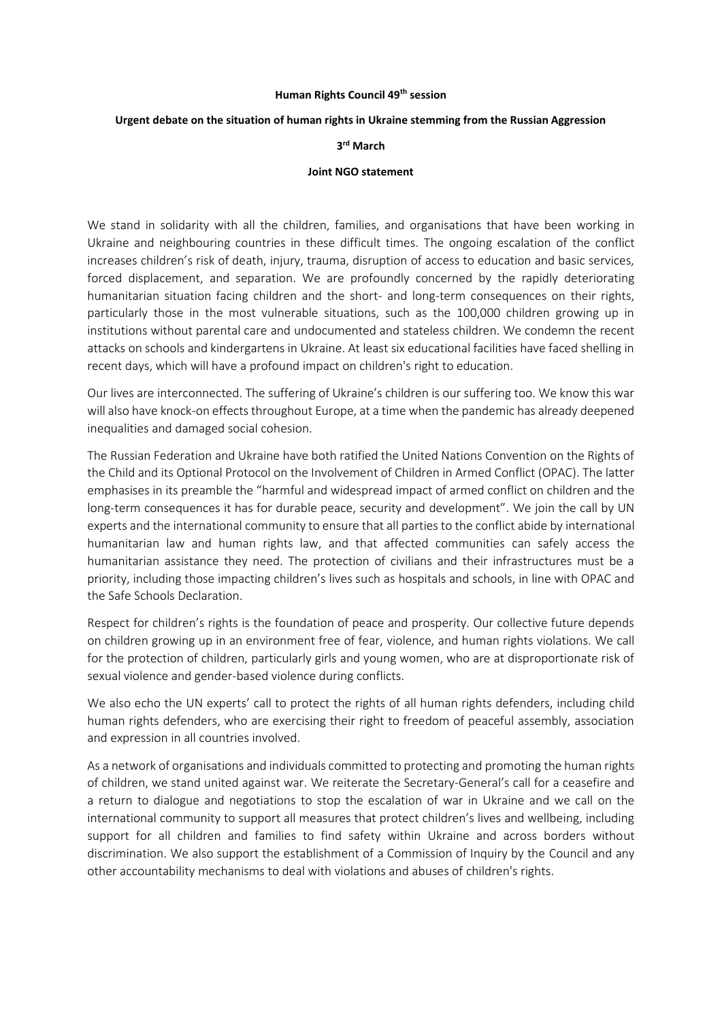#### **Human Rights Council 49th session**

### **Urgent debate on the situation of human rights in Ukraine stemming from the Russian Aggression**

## **3 rd March**

### **Joint NGO statement**

We stand in solidarity with all the children, families, and organisations that have been working in Ukraine and neighbouring countries in these difficult times. The ongoing escalation of the conflict increases children's risk of death, injury, trauma, disruption of access to education and basic services, forced displacement, and separation. We are profoundly concerned by the rapidly deteriorating humanitarian situation facing children and the short- and long-term consequences on their rights, particularly those in the most vulnerable situations, such as the 100,000 children growing up in institutions without parental care and undocumented and stateless children. We condemn the recent attacks on schools and kindergartens in Ukraine. At least six educational facilities have faced shelling in recent days, which will have a profound impact on children's right to education.

Our lives are interconnected. The suffering of Ukraine's children is our suffering too. We know this war will also have knock-on effects throughout Europe, at a time when the pandemic has already deepened inequalities and damaged social cohesion.

The Russian Federation and Ukraine have both ratified the United Nations Convention on the Rights of the Child and its Optional Protocol on the Involvement of Children in Armed Conflict (OPAC). The latter emphasises in its preamble the "harmful and widespread impact of armed conflict on children and the long-term consequences it has for durable peace, security and development". We join the call by UN experts and the international community to ensure that all parties to the conflict abide by international humanitarian law and human rights law, and that affected communities can safely access the humanitarian assistance they need. The protection of civilians and their infrastructures must be a priority, including those impacting children's lives such as hospitals and schools, in line with OPAC and the Safe Schools Declaration.

Respect for children's rights is the foundation of peace and prosperity. Our collective future depends on children growing up in an environment free of fear, violence, and human rights violations. We call for the protection of children, particularly girls and young women, who are at disproportionate risk of sexual violence and gender-based violence during conflicts.

We also echo the UN experts' call to protect the rights of all human rights defenders, including child human rights defenders, who are exercising their right to freedom of peaceful assembly, association and expression in all countries involved.

As a network of organisations and individuals committed to protecting and promoting the human rights of children, we stand united against war. We reiterate the Secretary-General's call for a ceasefire and a return to dialogue and negotiations to stop the escalation of war in Ukraine and we call on the international community to support all measures that protect children's lives and wellbeing, including support for all children and families to find safety within Ukraine and across borders without discrimination. We also support the establishment of a Commission of Inquiry by the Council and any other accountability mechanisms to deal with violations and abuses of children's rights.